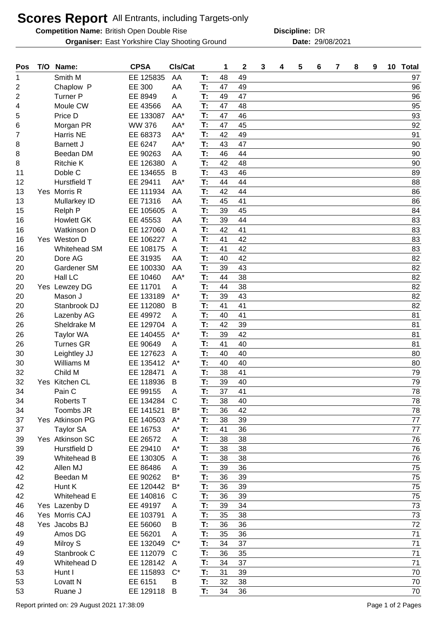## **Scores Report** All Entrants, including Targets-only

**Competition Name:** British Open Double Rise **DRITE: DRITE: DRITE: DR** 

**Organiser:** East Yorkshire Clay Shooting Ground **2008/2021** Date: 29/08/2021

**Discipline:**

| Pos | T/O | Name:               | <b>CPSA</b>   | CIs/Cat      |    | 1  | 2  | 3 | 4 | 5 | 6 | 7 | 8 | 9 | 10 Total |
|-----|-----|---------------------|---------------|--------------|----|----|----|---|---|---|---|---|---|---|----------|
| 1   |     | Smith M             | EE 125835     | AA           | T: | 48 | 49 |   |   |   |   |   |   |   | 97       |
| 2   |     | Chaplow P           | EE 300        | AA           | T: | 47 | 49 |   |   |   |   |   |   |   | 96       |
| 2   |     | <b>Turner P</b>     | EE 8949       | A            | T: | 49 | 47 |   |   |   |   |   |   |   | 96       |
| 4   |     | Moule CW            | EE 43566      | AA           | T: | 47 | 48 |   |   |   |   |   |   |   | 95       |
| 5   |     | Price D             | EE 133087     | AA*          | T: | 47 | 46 |   |   |   |   |   |   |   | 93       |
| 6   |     | Morgan PR           | <b>WW 376</b> | AA*          | T: | 47 | 45 |   |   |   |   |   |   |   | 92       |
| 7   |     | Harris NE           | EE 68373      | AA*          | T: | 42 | 49 |   |   |   |   |   |   |   | 91       |
| 8   |     | <b>Barnett J</b>    | EE 6247       | AA*          | T: | 43 | 47 |   |   |   |   |   |   |   | 90       |
| 8   |     | Beedan DM           | EE 90263      | AA           | T: | 46 | 44 |   |   |   |   |   |   |   | 90       |
| 8   |     | <b>Ritchie K</b>    | EE 126380     | A            | T: | 42 | 48 |   |   |   |   |   |   |   | 90       |
| 11  |     | Doble C             | EE 134655     | B            | T: | 43 | 46 |   |   |   |   |   |   |   | 89       |
| 12  |     | Hurstfield T        | EE 29411      | AA*          | T: | 44 | 44 |   |   |   |   |   |   |   | 88       |
| 13  |     | Yes Morris R        | EE 111934     | AA           | T: | 42 | 44 |   |   |   |   |   |   |   | 86       |
| 13  |     | Mullarkey ID        | EE 71316      | AA           | T: | 45 | 41 |   |   |   |   |   |   |   | 86       |
| 15  |     | Relph P             | EE 105605     | A            | T: | 39 | 45 |   |   |   |   |   |   |   | 84       |
| 16  |     | <b>Howlett GK</b>   | EE 45553      | AA           | T: | 39 | 44 |   |   |   |   |   |   |   | 83       |
| 16  |     | <b>Watkinson D</b>  | EE 127060     | A            | T: | 42 | 41 |   |   |   |   |   |   |   | 83       |
| 16  |     | Yes Weston D        | EE 106227     | A            | T: | 41 | 42 |   |   |   |   |   |   |   | 83       |
| 16  |     | Whitehead SM        | EE 108175     | A            | T: | 41 | 42 |   |   |   |   |   |   |   | 83       |
| 20  |     | Dore AG             | EE 31935      | AA           | T: | 40 | 42 |   |   |   |   |   |   |   | 82       |
| 20  |     | Gardener SM         | EE 100330     | AA           | T: | 39 | 43 |   |   |   |   |   |   |   | 82       |
| 20  |     | Hall LC             | EE 10460      | AA*          | T: | 44 | 38 |   |   |   |   |   |   |   | 82       |
| 20  |     | Yes Lewzey DG       | EE 11701      | A            | T: | 44 | 38 |   |   |   |   |   |   |   | 82       |
| 20  |     | Mason J             | EE 133189     | $A^*$        | T: | 39 | 43 |   |   |   |   |   |   |   | 82       |
| 20  |     | Stanbrook DJ        | EE 112080     | B            | T: | 41 | 41 |   |   |   |   |   |   |   | 82       |
| 26  |     | Lazenby AG          | EE 49972      | A            | T: | 40 | 41 |   |   |   |   |   |   |   | 81       |
| 26  |     | Sheldrake M         | EE 129704     | A            | T: | 42 | 39 |   |   |   |   |   |   |   | 81       |
| 26  |     | <b>Taylor WA</b>    | EE 140455     | $A^*$        | T: | 39 | 42 |   |   |   |   |   |   |   | 81       |
| 26  |     | <b>Turnes GR</b>    | EE 90649      | A            | T: | 41 | 40 |   |   |   |   |   |   |   | 81       |
| 30  |     | Leightley JJ        | EE 127623     | A            | T: | 40 | 40 |   |   |   |   |   |   |   | 80       |
| 30  |     | Williams M          | EE 135412     | $A^*$        | T: | 40 | 40 |   |   |   |   |   |   |   | 80       |
| 32  |     | Child M             | EE 128471     | A            | T: | 38 | 41 |   |   |   |   |   |   |   | 79       |
| 32  |     | Yes Kitchen CL      | EE 118936     | B            | T: | 39 | 40 |   |   |   |   |   |   |   | 79       |
| 34  |     | Pain C              | EE 99155      | A            | T: | 37 | 41 |   |   |   |   |   |   |   | 78       |
| 34  |     | <b>Roberts T</b>    | EE 134284     | $\mathsf{C}$ | T: | 38 | 40 |   |   |   |   |   |   |   | 78       |
| 34  |     | Toombs JR           | EE 141521     | $B^*$        | T: | 36 | 42 |   |   |   |   |   |   |   | 78       |
| 37  |     | Yes Atkinson PG     | EE 140503     | $A^*$        | T: | 38 | 39 |   |   |   |   |   |   |   | 77       |
| 37  |     | <b>Taylor SA</b>    | EE 16753      | $A^*$        | T: | 41 | 36 |   |   |   |   |   |   |   | 77       |
| 39  |     | Yes Atkinson SC     | EE 26572      | A            | T: | 38 | 38 |   |   |   |   |   |   |   | 76       |
| 39  |     | Hurstfield D        | EE 29410      | $A^*$        | T: | 38 | 38 |   |   |   |   |   |   |   | 76       |
| 39  |     | Whitehead B         | EE 130305     | A            | T: | 38 | 38 |   |   |   |   |   |   |   | 76       |
| 42  |     | Allen MJ            | EE 86486      | A            | T: | 39 | 36 |   |   |   |   |   |   |   | 75       |
| 42  |     | Beedan M            | EE 90262      | B*           | T: | 36 | 39 |   |   |   |   |   |   |   | 75       |
| 42  |     | Hunt K              | EE 120442     | $B^*$        | T: | 36 | 39 |   |   |   |   |   |   |   | 75       |
| 42  |     | Whitehead E         | EE 140816     | $\mathsf{C}$ | T: | 36 | 39 |   |   |   |   |   |   |   | 75       |
| 46  |     | Yes Lazenby D       | EE 49197      | A            | T: | 39 | 34 |   |   |   |   |   |   |   | 73       |
| 46  |     | Yes Morris CAJ      | EE 103791     | A            | T: | 35 | 38 |   |   |   |   |   |   |   | 73       |
| 48  |     | Yes Jacobs BJ       | EE 56060      | в            | T: | 36 | 36 |   |   |   |   |   |   |   | 72       |
| 49  |     | Amos DG             | EE 56201      | A            | T: | 35 | 36 |   |   |   |   |   |   |   | 71       |
| 49  |     | Milroy S            | EE 132049     | $C^*$        | T: | 34 | 37 |   |   |   |   |   |   |   | 71       |
| 49  |     | Stanbrook C         | EE 112079     | C            | T: | 36 | 35 |   |   |   |   |   |   |   | 71       |
| 49  |     | Whitehead D         | EE 128142     | A            | T: | 34 | 37 |   |   |   |   |   |   |   | 71       |
| 53  |     | Hunt I              | EE 115893     | $C^*$        | T: | 31 | 39 |   |   |   |   |   |   |   | 70       |
| 53  |     | Lovatt <sub>N</sub> | EE 6151       | B            | T: | 32 | 38 |   |   |   |   |   |   |   | 70       |
| 53  |     | Ruane J             | EE 129118     | B            | T: | 34 | 36 |   |   |   |   |   |   |   | 70       |